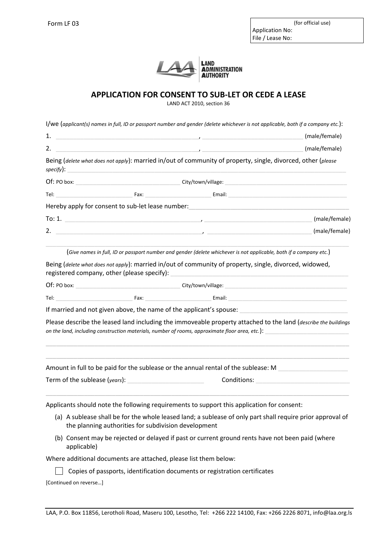

## **APPLICATION FOR CONSENT TO SUB-LET OR CEDE A LEASE**

LAND ACT 2010, section 36

| l/we (applicant(s) names in full, ID or passport number and gender (delete whichever is not applicable, both if a company etc.): |  |  |
|----------------------------------------------------------------------------------------------------------------------------------|--|--|
|----------------------------------------------------------------------------------------------------------------------------------|--|--|

| 1.          |                                                   | <u> 1986 - Jan Stein Harry Harry Harry Harry Harry Harry Harry Harry Harry Harry Harry Harry Harry Harry Harry Har</u> | (male/female) |
|-------------|---------------------------------------------------|------------------------------------------------------------------------------------------------------------------------|---------------|
| 2.          |                                                   |                                                                                                                        | (male/female) |
| $specify$ : |                                                   | Being (delete what does not apply): married in/out of community of property, single, divorced, other (please           |               |
| Of: PO box: | City/town/village:                                |                                                                                                                        |               |
|             | Fax:                                              | Email:                                                                                                                 |               |
|             | Hereby apply for consent to sub-let lease number: |                                                                                                                        |               |
| To: 1.      |                                                   |                                                                                                                        | (male/female) |
| 2.          |                                                   |                                                                                                                        | (male/female) |

(*Give names in full, ID or passport number and gender (delete whichever is not applicable, both if a company etc.*)

Being (*delete what does not apply*): married in/out of community of property, single, divorced, widowed, registered company, other (please specify):

Of: PO box: example and the control of the City/town/village: Tel: \_\_\_\_\_\_\_\_\_\_\_\_\_\_\_\_\_\_\_\_\_\_ Fax: \_\_\_\_\_\_\_\_\_\_\_\_\_\_\_\_\_\_\_ Email: \_\_\_\_\_\_\_\_\_\_\_\_\_\_\_\_\_\_\_\_\_\_\_\_\_\_\_\_\_\_\_\_\_\_

If married and not given above, the name of the applicant's spouse:

Please describe the leased land including the immoveable property attached to the land (*describe the buildings*  on the land, including construction materials, number of rooms, approximate floor area, etc.):

\_\_\_\_\_\_\_\_\_\_\_\_\_\_\_\_\_\_\_\_\_\_\_\_\_\_\_\_\_\_\_\_\_\_\_\_\_\_\_\_\_\_\_\_\_\_\_\_\_\_\_\_\_\_\_\_\_\_\_\_\_\_\_\_\_\_\_\_\_\_\_\_\_\_\_\_\_\_\_\_\_\_\_\_\_\_\_ \_\_\_\_\_\_\_\_\_\_\_\_\_\_\_\_\_\_\_\_\_\_\_\_\_\_\_\_\_\_\_\_\_\_\_\_\_\_\_\_\_\_\_\_\_\_\_\_\_\_\_\_\_\_\_\_\_\_\_\_\_\_\_\_\_\_\_\_\_\_\_\_\_\_\_\_\_\_\_\_\_\_\_\_\_\_\_

| Amount in full to be paid for the sublease or the annual rental of the sublease: M |             |  |
|------------------------------------------------------------------------------------|-------------|--|
| Term of the sublease (years):                                                      | Conditions: |  |

\_\_\_\_\_\_\_\_\_\_\_\_\_\_\_\_\_\_\_\_\_\_\_\_\_\_\_\_\_\_\_\_\_\_\_\_\_\_\_\_\_\_\_\_\_\_\_\_\_\_\_\_\_\_\_\_\_\_\_\_\_\_\_\_\_\_\_\_\_\_\_\_\_\_\_\_\_\_\_\_\_\_\_\_\_\_\_

Applicants should note the following requirements to support this application for consent:

- (a) A sublease shall be for the whole leased land; a sublease of only part shall require prior approval of the planning authorities for subdivision development
- (b) Consent may be rejected or delayed if past or current ground rents have not been paid (where applicable)

Where additional documents are attached, please list them below:

 $\Box$  Copies of passports, identification documents or registration certificates

[Continued on reverse…]